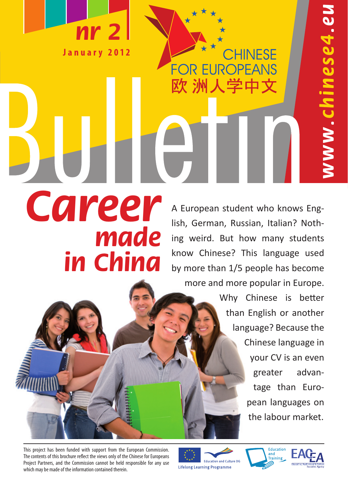# **nr 2 J a n u a r y 2 0 1 2**

**Career made in China**

A European student who knows English, German, Russian, Italian? Nothing weird. But how many students know Chinese? This language used by more than 1/5 people has become more and more popular in Europe.

CHINESE

**REUROPEANS** 

欧 洲人学中文

Why Chinese is better than English or another language? Because the Chinese language in your CV is an even greater advantage than European languages on the labour market.

1ese4.eu

This project has been funded with support from the European Commission. The contents of this brochure reflect the views only of the Chinese for Europeans Project Partners, and the Commission cannot be held responsible for any use which may be made of the information contained therein.

**Education and Culture DR Lifelong Learning Programme** 

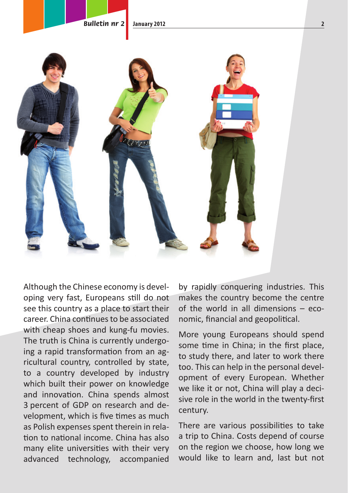

Although the Chinese economy is developing very fast, Europeans still do not see this country as a place to start their career. China continues to be associated with cheap shoes and kung-fu movies. The truth is China is currently undergoing a rapid transformation from an agricultural country, controlled by state, to a country developed by industry which built their power on knowledge and innovation. China spends almost 3 percent of GDP on research and development, which is five times as much as Polish expenses spent therein in relation to national income. China has also many elite universities with their very advanced technology, accompanied by rapidly conquering industries. This makes the country become the centre of the world in all dimensions – economic, financial and geopolitical.

More young Europeans should spend some time in China; in the first place, to study there, and later to work there too. This can help in the personal development of every European. Whether we like it or not, China will play a decisive role in the world in the twenty-first century.

There are various possibilities to take a trip to China. Costs depend of course on the region we choose, how long we would like to learn and, last but not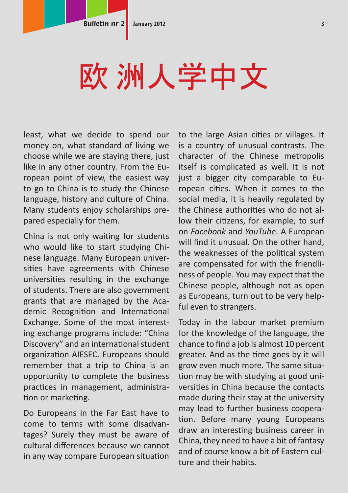## 欧 洲人学中文

least, what we decide to spend our money on, what standard of living we choose while we are staying there, just like in any other country. From the European point of view, the easiest way to go to China is to study the Chinese language, history and culture of China. Many students enjoy scholarships prepared especially for them.

China is not only waiting for students who would like to start studying Chinese language. Many European universities have agreements with Chinese universities resulting in the exchange of students. There are also government grants that are managed by the Academic Recognition and International Exchange. Some of the most interesting exchange programs include: "China Discovery" and an international student organization AIESEC. Europeans should remember that a trip to China is an opportunity to complete the business practices in management, administration or marketing.

Do Europeans in the Far East have to come to terms with some disadvantages? Surely they must be aware of cultural differences because we cannot in any way compare European situation to the large Asian cities or villages. It is a country of unusual contrasts. The character of the Chinese metropolis itself is complicated as well. It is not just a bigger city comparable to European cities. When it comes to the social media, it is heavily regulated by the Chinese authorities who do not allow their citizens, for example, to surf on *Facebook* and *YouTube*. A European will find it unusual. On the other hand. the weaknesses of the political system are compensated for with the friendliness of people. You may expect that the Chinese people, although not as open as Europeans, turn out to be very helpful even to strangers.

Today in the labour market premium for the knowledge of the language, the chance to find a job is almost 10 percent greater. And as the time goes by it will grow even much more. The same situation may be with studying at good universities in China because the contacts made during their stay at the university may lead to further business cooperation. Before many young Europeans draw an interesting business career in China, they need to have a bit of fantasy and of course know a bit of Eastern culture and their habits.